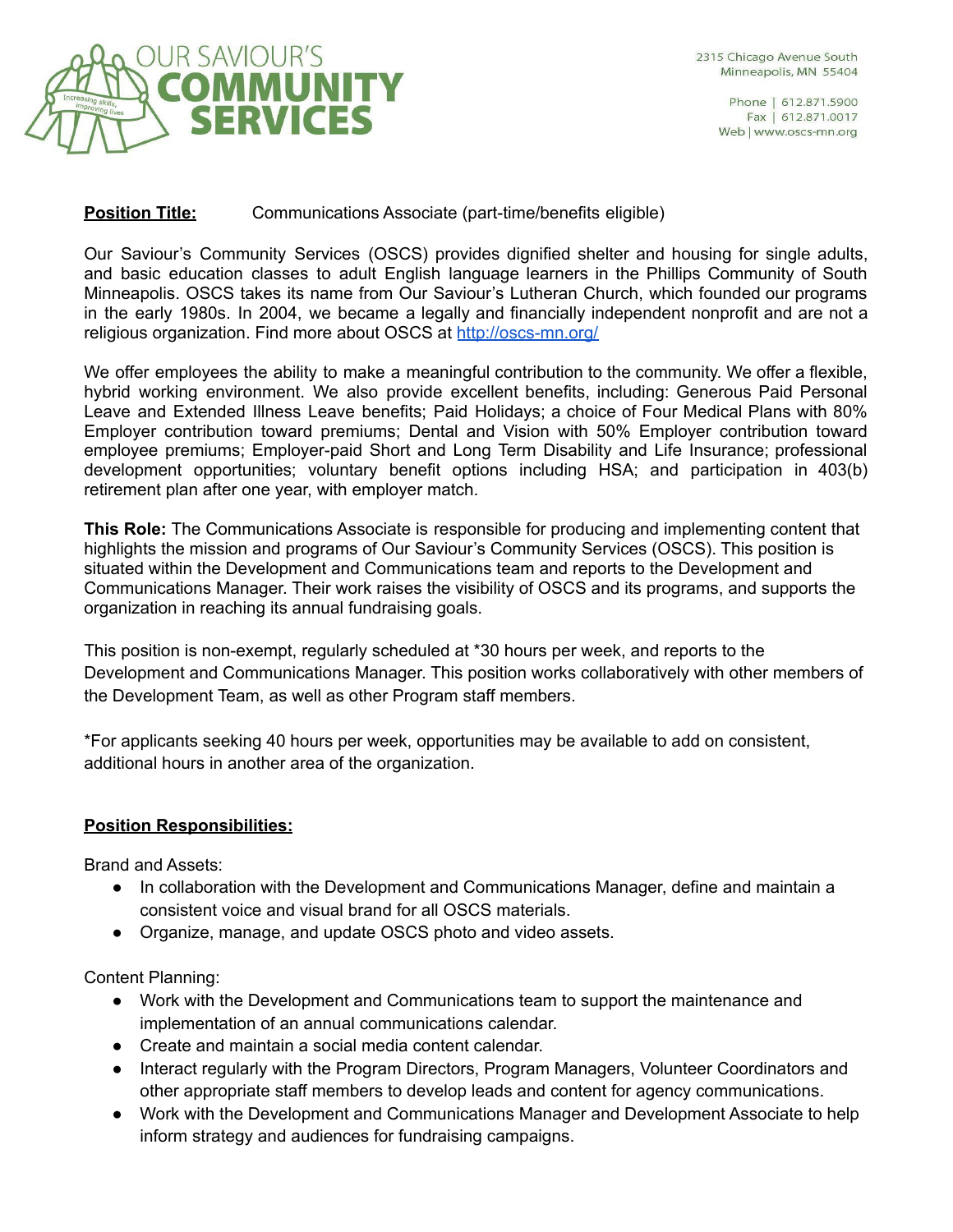

Phone | 612.871.5900 Fax | 612.871.0017 Web | www.oscs-mn.org

## **Position Title:** Communications Associate (part-time/benefits eligible)

Our Saviour's Community Services (OSCS) provides dignified shelter and housing for single adults, and basic education classes to adult English language learners in the Phillips Community of South Minneapolis. OSCS takes its name from Our Saviour's Lutheran Church, which founded our programs in the early 1980s. In 2004, we became a legally and financially independent nonprofit and are not a religious organization. Find more about OSCS at <http://oscs-mn.org/>

We offer employees the ability to make a meaningful contribution to the community. We offer a flexible, hybrid working environment. We also provide excellent benefits, including: Generous Paid Personal Leave and Extended Illness Leave benefits; Paid Holidays; a choice of Four Medical Plans with 80% Employer contribution toward premiums; Dental and Vision with 50% Employer contribution toward employee premiums; Employer-paid Short and Long Term Disability and Life Insurance; professional development opportunities; voluntary benefit options including HSA; and participation in 403(b) retirement plan after one year, with employer match.

**This Role:** The Communications Associate is responsible for producing and implementing content that highlights the mission and programs of Our Saviour's Community Services (OSCS). This position is situated within the Development and Communications team and reports to the Development and Communications Manager. Their work raises the visibility of OSCS and its programs, and supports the organization in reaching its annual fundraising goals.

This position is non-exempt, regularly scheduled at \*30 hours per week, and reports to the Development and Communications Manager. This position works collaboratively with other members of the Development Team, as well as other Program staff members.

\*For applicants seeking 40 hours per week, opportunities may be available to add on consistent, additional hours in another area of the organization.

## **Position Responsibilities:**

Brand and Assets:

- In collaboration with the Development and Communications Manager, define and maintain a consistent voice and visual brand for all OSCS materials.
- Organize, manage, and update OSCS photo and video assets.

Content Planning:

- Work with the Development and Communications team to support the maintenance and implementation of an annual communications calendar.
- Create and maintain a social media content calendar.
- Interact regularly with the Program Directors, Program Managers, Volunteer Coordinators and other appropriate staff members to develop leads and content for agency communications.
- Work with the Development and Communications Manager and Development Associate to help inform strategy and audiences for fundraising campaigns.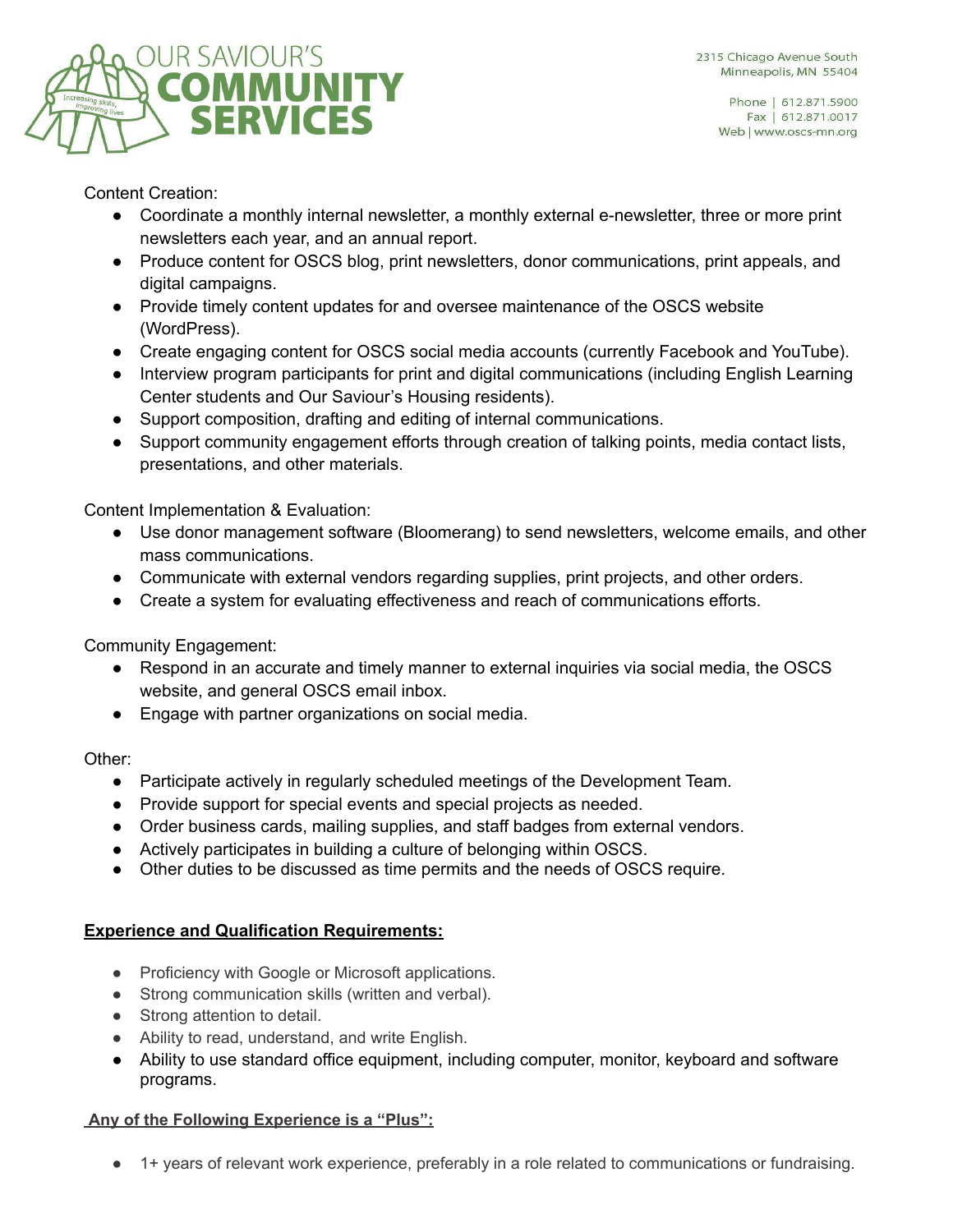



Content Creation:

- Coordinate a monthly internal newsletter, a monthly external e-newsletter, three or more print newsletters each year, and an annual report.
- Produce content for OSCS blog, print newsletters, donor communications, print appeals, and digital campaigns.
- Provide timely content updates for and oversee maintenance of the OSCS website (WordPress).
- Create engaging content for OSCS social media accounts (currently Facebook and YouTube).
- Interview program participants for print and digital communications (including English Learning Center students and Our Saviour's Housing residents).
- Support composition, drafting and editing of internal communications.
- Support community engagement efforts through creation of talking points, media contact lists, presentations, and other materials.

Content Implementation & Evaluation:

- Use donor management software (Bloomerang) to send newsletters, welcome emails, and other mass communications.
- Communicate with external vendors regarding supplies, print projects, and other orders.
- Create a system for evaluating effectiveness and reach of communications efforts.

Community Engagement:

- Respond in an accurate and timely manner to external inquiries via social media, the OSCS website, and general OSCS email inbox.
- Engage with partner organizations on social media.

Other:

- Participate actively in regularly scheduled meetings of the Development Team.
- Provide support for special events and special projects as needed.
- Order business cards, mailing supplies, and staff badges from external vendors.
- Actively participates in building a culture of belonging within OSCS.
- Other duties to be discussed as time permits and the needs of OSCS require.

# **Experience and Qualification Requirements:**

- Proficiency with Google or Microsoft applications.
- Strong communication skills (written and verbal).
- Strong attention to detail.
- Ability to read, understand, and write English.
- Ability to use standard office equipment, including computer, monitor, keyboard and software programs.

## **Any of the Following Experience is a "Plus":**

● 1+ years of relevant work experience, preferably in a role related to communications or fundraising.